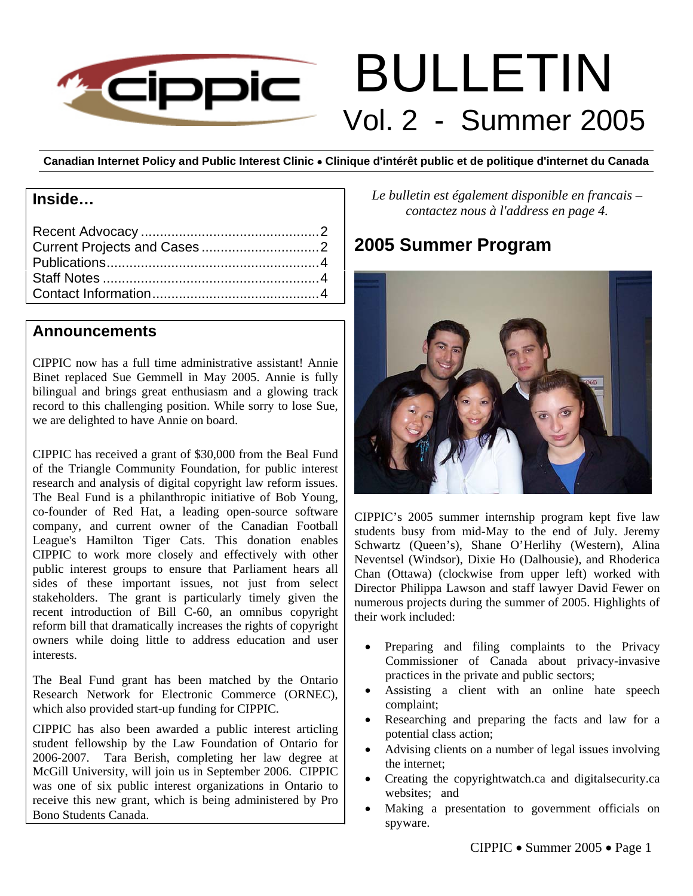

# BULLETIN Vol. 2 - Summer 2005

**Canadian Internet Policy and Public Interest Clinic** • **Clinique d'intérêt public et de politique d'internet du Canada**

# **Inside…**

# **Announcements**

CIPPIC now has a full time administrative assistant! Annie Binet replaced Sue Gemmell in May 2005. Annie is fully bilingual and brings great enthusiasm and a glowing track record to this challenging position. While sorry to lose Sue, we are delighted to have Annie on board.

CIPPIC has received a grant of \$30,000 from the Beal Fund of the Triangle Community Foundation, for public interest research and analysis of digital copyright law reform issues. The Beal Fund is a philanthropic initiative of Bob Young, co-founder of Red Hat, a leading open-source software company, and current owner of the Canadian Football League's Hamilton Tiger Cats. This donation enables CIPPIC to work more closely and effectively with other public interest groups to ensure that Parliament hears all sides of these important issues, not just from select stakeholders. The grant is particularly timely given the recent introduction of Bill C-60, an omnibus copyright reform bill that dramatically increases the rights of copyright owners while doing little to address education and user interests.

The Beal Fund grant has been matched by the Ontario Research Network for Electronic Commerce (ORNEC), which also provided start-up funding for CIPPIC.

CIPPIC has also been awarded a public interest articling student fellowship by the Law Foundation of Ontario for 2006-2007. Tara Berish, completing her law degree at McGill University, will join us in September 2006. CIPPIC was one of six public interest organizations in Ontario to receive this new grant, which is being administered by Pro Bono Students Canada.

*Le bulletin est également disponible en francais – contactez nous à l'address en page 4.* 

# **2005 Summer Program**



CIPPIC's 2005 summer internship program kept five law students busy from mid-May to the end of July. Jeremy Schwartz (Queen's), Shane O'Herlihy (Western), Alina Neventsel (Windsor), Dixie Ho (Dalhousie), and Rhoderica Chan (Ottawa) (clockwise from upper left) worked with Director Philippa Lawson and staff lawyer David Fewer on numerous projects during the summer of 2005. Highlights of their work included:

- Preparing and filing complaints to the Privacy Commissioner of Canada about privacy-invasive practices in the private and public sectors;
- Assisting a client with an online hate speech complaint;
- Researching and preparing the facts and law for a potential class action;
- Advising clients on a number of legal issues involving the internet;
- Creating the copyrightwatch.ca and digitalsecurity.ca websites; and
- Making a presentation to government officials on spyware.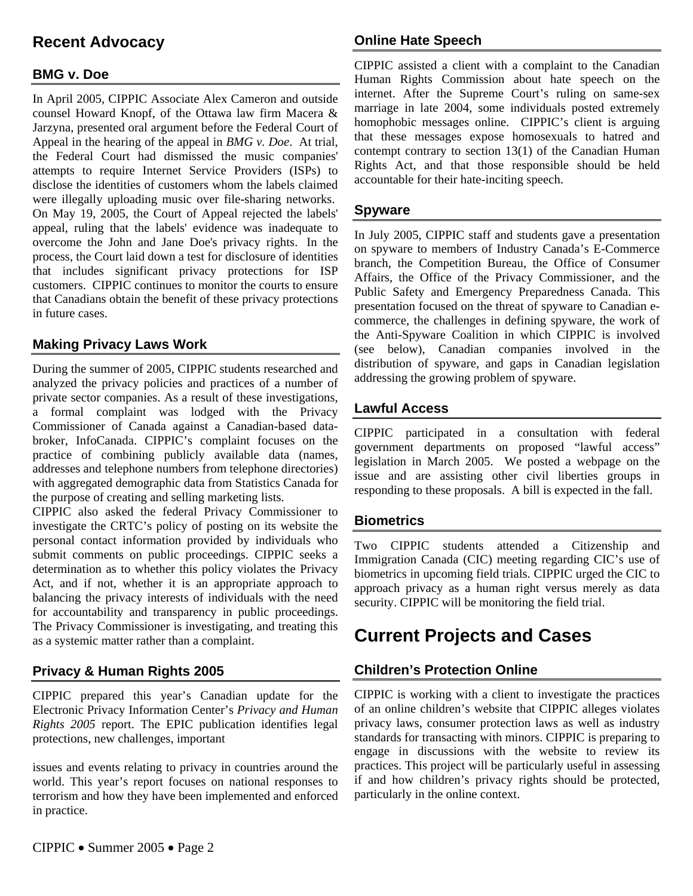# **Recent Advocacy**

# **BMG v. Doe**

In April 2005, CIPPIC Associate Alex Cameron and outside counsel Howard Knopf, of the Ottawa law firm Macera & Jarzyna, presented oral argument before the Federal Court of Appeal in the hearing of the appeal in *BMG v. Doe*. At trial, the Federal Court had dismissed the music companies' attempts to require Internet Service Providers (ISPs) to disclose the identities of customers whom the labels claimed were illegally uploading music over file-sharing networks. On May 19, 2005, the Court of Appeal rejected the labels' appeal, ruling that the labels' evidence was inadequate to overcome the John and Jane Doe's privacy rights. In the process, the Court laid down a test for disclosure of identities that includes significant privacy protections for ISP customers. CIPPIC continues to monitor the courts to ensure that Canadians obtain the benefit of these privacy protections in future cases.

# **Making Privacy Laws Work**

During the summer of 2005, CIPPIC students researched and analyzed the privacy policies and practices of a number of private sector companies. As a result of these investigations, a formal complaint was lodged with the Privacy Commissioner of Canada against a Canadian-based databroker, InfoCanada. CIPPIC's complaint focuses on the practice of combining publicly available data (names, addresses and telephone numbers from telephone directories) with aggregated demographic data from Statistics Canada for the purpose of creating and selling marketing lists.

CIPPIC also asked the federal Privacy Commissioner to investigate the CRTC's policy of posting on its website the personal contact information provided by individuals who submit comments on public proceedings. CIPPIC seeks a determination as to whether this policy violates the Privacy Act, and if not, whether it is an appropriate approach to balancing the privacy interests of individuals with the need for accountability and transparency in public proceedings. The Privacy Commissioner is investigating, and treating this as a systemic matter rather than a complaint.

# **Privacy & Human Rights 2005**

CIPPIC prepared this year's Canadian update for the Electronic Privacy Information Center's *Privacy and Human Rights 2005* report. The EPIC publication identifies legal protections, new challenges, important

issues and events relating to privacy in countries around the world. This year's report focuses on national responses to terrorism and how they have been implemented and enforced in practice.

# **Online Hate Speech**

CIPPIC assisted a client with a complaint to the Canadian Human Rights Commission about hate speech on the internet. After the Supreme Court's ruling on same-sex marriage in late 2004, some individuals posted extremely homophobic messages online. CIPPIC's client is arguing that these messages expose homosexuals to hatred and contempt contrary to section 13(1) of the Canadian Human Rights Act, and that those responsible should be held accountable for their hate-inciting speech.

#### **Spyware**

In July 2005, CIPPIC staff and students gave a presentation on spyware to members of Industry Canada's E-Commerce branch, the Competition Bureau, the Office of Consumer Affairs, the Office of the Privacy Commissioner, and the Public Safety and Emergency Preparedness Canada. This presentation focused on the threat of spyware to Canadian ecommerce, the challenges in defining spyware, the work of the Anti-Spyware Coalition in which CIPPIC is involved (see below), Canadian companies involved in the distribution of spyware, and gaps in Canadian legislation addressing the growing problem of spyware.

#### **Lawful Access**

CIPPIC participated in a consultation with federal government departments on proposed "lawful access" legislation in March 2005. We posted a webpage on the issue and are assisting other civil liberties groups in responding to these proposals. A bill is expected in the fall.

#### **Biometrics**

Two CIPPIC students attended a Citizenship and Immigration Canada (CIC) meeting regarding CIC's use of biometrics in upcoming field trials. CIPPIC urged the CIC to approach privacy as a human right versus merely as data security. CIPPIC will be monitoring the field trial.

# **Current Projects and Cases**

# **Children's Protection Online**

CIPPIC is working with a client to investigate the practices of an online children's website that CIPPIC alleges violates privacy laws, consumer protection laws as well as industry standards for transacting with minors. CIPPIC is preparing to engage in discussions with the website to review its practices. This project will be particularly useful in assessing if and how children's privacy rights should be protected, particularly in the online context.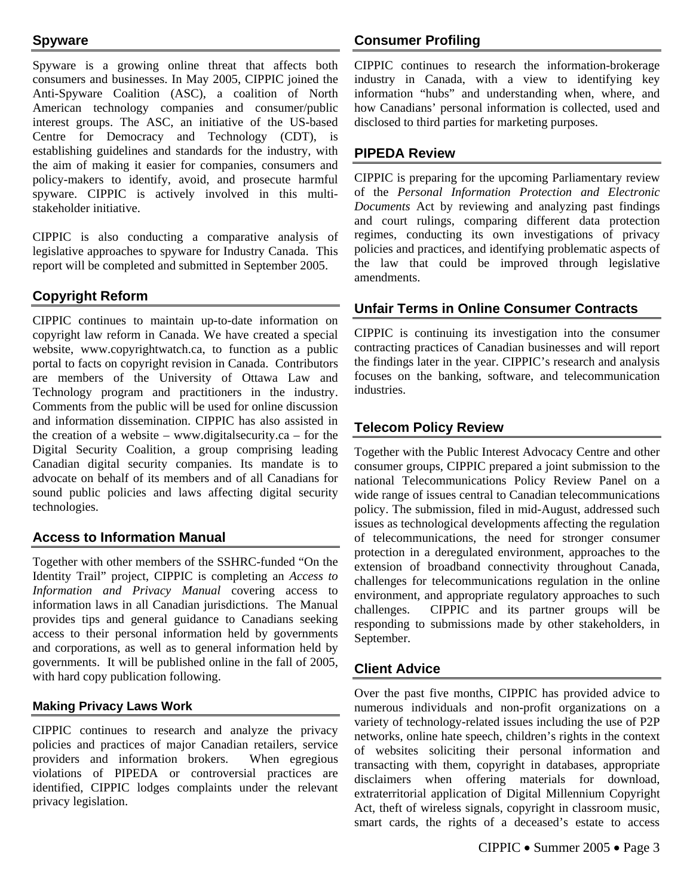# **Spyware**

Spyware is a growing online threat that affects both consumers and businesses. In May 2005, CIPPIC joined the Anti-Spyware Coalition (ASC), a coalition of North American technology companies and consumer/public interest groups. The ASC, an initiative of the US-based Centre for Democracy and Technology (CDT), is establishing guidelines and standards for the industry, with the aim of making it easier for companies, consumers and policy-makers to identify, avoid, and prosecute harmful spyware. CIPPIC is actively involved in this multistakeholder initiative.

CIPPIC is also conducting a comparative analysis of legislative approaches to spyware for Industry Canada. This report will be completed and submitted in September 2005.

# **Copyright Reform**

CIPPIC continues to maintain up-to-date information on copyright law reform in Canada. We have created a special website, www.copyrightwatch.ca, to function as a public portal to facts on copyright revision in Canada. Contributors are members of the University of Ottawa Law and Technology program and practitioners in the industry. Comments from the public will be used for online discussion and information dissemination. CIPPIC has also assisted in the creation of a website – www.digitalsecurity.ca – for the Digital Security Coalition, a group comprising leading Canadian digital security companies. Its mandate is to advocate on behalf of its members and of all Canadians for sound public policies and laws affecting digital security technologies.

# **Access to Information Manual**

Together with other members of the SSHRC-funded "On the Identity Trail" project, CIPPIC is completing an *Access to Information and Privacy Manual* covering access to information laws in all Canadian jurisdictions. The Manual provides tips and general guidance to Canadians seeking access to their personal information held by governments and corporations, as well as to general information held by governments. It will be published online in the fall of 2005, with hard copy publication following.

#### **Making Privacy Laws Work**

CIPPIC continues to research and analyze the privacy policies and practices of major Canadian retailers, service providers and information brokers. When egregious violations of PIPEDA or controversial practices are identified, CIPPIC lodges complaints under the relevant privacy legislation.

# **Consumer Profiling**

CIPPIC continues to research the information-brokerage industry in Canada, with a view to identifying key information "hubs" and understanding when, where, and how Canadians' personal information is collected, used and disclosed to third parties for marketing purposes.

### **PIPEDA Review**

CIPPIC is preparing for the upcoming Parliamentary review of the *Personal Information Protection and Electronic Documents* Act by reviewing and analyzing past findings and court rulings, comparing different data protection regimes, conducting its own investigations of privacy policies and practices, and identifying problematic aspects of the law that could be improved through legislative amendments.

# **Unfair Terms in Online Consumer Contracts**

CIPPIC is continuing its investigation into the consumer contracting practices of Canadian businesses and will report the findings later in the year. CIPPIC's research and analysis focuses on the banking, software, and telecommunication industries.

# **Telecom Policy Review**

Together with the Public Interest Advocacy Centre and other consumer groups, CIPPIC prepared a joint submission to the national Telecommunications Policy Review Panel on a wide range of issues central to Canadian telecommunications policy. The submission, filed in mid-August, addressed such issues as technological developments affecting the regulation of telecommunications, the need for stronger consumer protection in a deregulated environment, approaches to the extension of broadband connectivity throughout Canada, challenges for telecommunications regulation in the online environment, and appropriate regulatory approaches to such challenges. CIPPIC and its partner groups will be responding to submissions made by other stakeholders, in September.

#### **Client Advice**

Over the past five months, CIPPIC has provided advice to numerous individuals and non-profit organizations on a variety of technology-related issues including the use of P2P networks, online hate speech, children's rights in the context of websites soliciting their personal information and transacting with them, copyright in databases, appropriate disclaimers when offering materials for download, extraterritorial application of Digital Millennium Copyright Act, theft of wireless signals, copyright in classroom music, smart cards, the rights of a deceased's estate to access